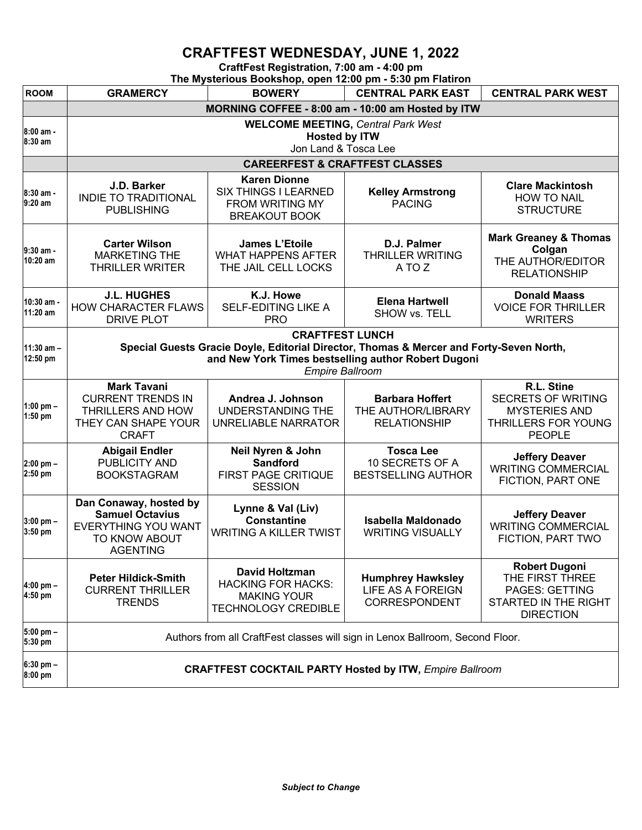## **CRAFTFEST WEDNESDAY, JUNE 1, 2022**

**CraftFest Registration, 7:00 am - 4:00 pm**

| The Mysterious Bookshop, open 12:00 pm - 5:30 pm Flatiron |                                                                                                                                                                                                    |                                                                                                        |                                                                     |                                                                                                                |  |  |  |  |
|-----------------------------------------------------------|----------------------------------------------------------------------------------------------------------------------------------------------------------------------------------------------------|--------------------------------------------------------------------------------------------------------|---------------------------------------------------------------------|----------------------------------------------------------------------------------------------------------------|--|--|--|--|
| <b>ROOM</b>                                               | <b>GRAMERCY</b>                                                                                                                                                                                    | <b>BOWERY</b>                                                                                          | <b>CENTRAL PARK EAST</b>                                            | <b>CENTRAL PARK WEST</b>                                                                                       |  |  |  |  |
|                                                           | MORNING COFFEE - 8:00 am - 10:00 am Hosted by ITW                                                                                                                                                  |                                                                                                        |                                                                     |                                                                                                                |  |  |  |  |
| 8:00 am -<br>8:30 am                                      | <b>WELCOME MEETING, Central Park West</b><br><b>Hosted by ITW</b><br>Jon Land & Tosca Lee                                                                                                          |                                                                                                        |                                                                     |                                                                                                                |  |  |  |  |
|                                                           | <b>CAREERFEST &amp; CRAFTFEST CLASSES</b>                                                                                                                                                          |                                                                                                        |                                                                     |                                                                                                                |  |  |  |  |
| 8:30 am -<br>9:20 am                                      | J.D. Barker<br><b>INDIE TO TRADITIONAL</b><br><b>PUBLISHING</b>                                                                                                                                    | <b>Karen Dionne</b><br>SIX THINGS I LEARNED<br><b>FROM WRITING MY</b><br><b>BREAKOUT BOOK</b>          | <b>Kelley Armstrong</b><br><b>PACING</b>                            | <b>Clare Mackintosh</b><br><b>HOW TO NAIL</b><br><b>STRUCTURE</b>                                              |  |  |  |  |
| 9:30 am -<br>10:20 am                                     | <b>Carter Wilson</b><br><b>MARKETING THE</b><br><b>THRILLER WRITER</b>                                                                                                                             | <b>James L'Etoile</b><br><b>WHAT HAPPENS AFTER</b><br>THE JAIL CELL LOCKS                              | D.J. Palmer<br><b>THRILLER WRITING</b><br>A TO Z                    | <b>Mark Greaney &amp; Thomas</b><br>Colgan<br>THE AUTHOR/EDITOR<br><b>RELATIONSHIP</b>                         |  |  |  |  |
| 10:30 am -<br>11:20 am                                    | <b>J.L. HUGHES</b><br><b>HOW CHARACTER FLAWS</b><br><b>DRIVE PLOT</b>                                                                                                                              | K.J. Howe<br>SELF-EDITING LIKE A<br><b>PRO</b>                                                         | <b>Elena Hartwell</b><br>SHOW vs. TELL                              | <b>Donald Maass</b><br><b>VOICE FOR THRILLER</b><br><b>WRITERS</b>                                             |  |  |  |  |
| $11:30$ am $-$<br>12:50 pm                                | <b>CRAFTFEST LUNCH</b><br>Special Guests Gracie Doyle, Editorial Director, Thomas & Mercer and Forty-Seven North,<br>and New York Times bestselling author Robert Dugoni<br><b>Empire Ballroom</b> |                                                                                                        |                                                                     |                                                                                                                |  |  |  |  |
| 1:00 pm $-$<br>1:50 pm                                    | <b>Mark Tavani</b><br><b>CURRENT TRENDS IN</b><br>THRILLERS AND HOW<br>THEY CAN SHAPE YOUR<br><b>CRAFT</b>                                                                                         | Andrea J. Johnson<br>UNDERSTANDING THE<br>UNRELIABLE NARRATOR                                          | <b>Barbara Hoffert</b><br>THE AUTHOR/LIBRARY<br><b>RELATIONSHIP</b> | R.L. Stine<br><b>SECRETS OF WRITING</b><br><b>MYSTERIES AND</b><br><b>THRILLERS FOR YOUNG</b><br><b>PEOPLE</b> |  |  |  |  |
| 2:00 pm -<br>2:50 pm                                      | <b>Abigail Endler</b><br>PUBLICITY AND<br><b>BOOKSTAGRAM</b>                                                                                                                                       | Neil Nyren & John<br><b>Sandford</b><br>FIRST PAGE CRITIQUE<br><b>SESSION</b>                          | <b>Tosca Lee</b><br>10 SECRETS OF A<br><b>BESTSELLING AUTHOR</b>    | <b>Jeffery Deaver</b><br><b>WRITING COMMERCIAL</b><br>FICTION, PART ONE                                        |  |  |  |  |
| $3:00$ pm $-$<br>3:50 pm                                  | Dan Conaway, hosted by<br><b>Samuel Octavius</b><br><b>EVERYTHING YOU WANT</b><br>TO KNOW ABOUT<br><b>AGENTING</b>                                                                                 | Lynne & Val (Liv)<br><b>Constantine</b><br><b>WRITING A KILLER TWIST</b>                               | <b>Isabella Maldonado</b><br><b>WRITING VISUALLY</b>                | <b>Jeffery Deaver</b><br><b>WRITING COMMERCIAL</b><br>FICTION, PART TWO                                        |  |  |  |  |
| 4:00 pm -<br>4:50 pm                                      | <b>Peter Hildick-Smith</b><br><b>CURRENT THRILLER</b><br><b>TRENDS</b>                                                                                                                             | <b>David Holtzman</b><br><b>HACKING FOR HACKS:</b><br><b>MAKING YOUR</b><br><b>TECHNOLOGY CREDIBLE</b> | <b>Humphrey Hawksley</b><br>LIFE AS A FOREIGN<br>CORRESPONDENT      | <b>Robert Dugoni</b><br>THE FIRST THREE<br><b>PAGES: GETTING</b><br>STARTED IN THE RIGHT<br><b>DIRECTION</b>   |  |  |  |  |
| 5:00 pm -<br>5:30 pm                                      | Authors from all CraftFest classes will sign in Lenox Ballroom, Second Floor.                                                                                                                      |                                                                                                        |                                                                     |                                                                                                                |  |  |  |  |
| $6:30$ pm $-$<br>8:00 pm                                  | <b>CRAFTFEST COCKTAIL PARTY Hosted by ITW, Empire Ballroom</b>                                                                                                                                     |                                                                                                        |                                                                     |                                                                                                                |  |  |  |  |